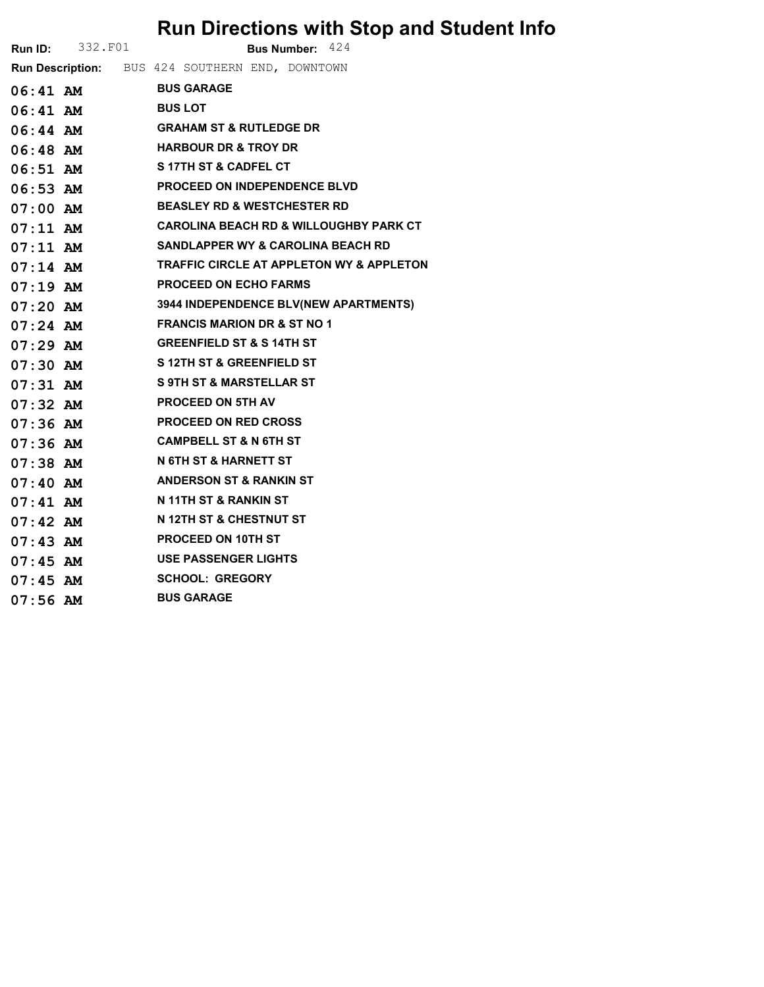## Run Directions with Stop and Student Info

|            | <b>Run ID:</b> 332. F01 | Bus Number: 424                                   |
|------------|-------------------------|---------------------------------------------------|
|            |                         | Run Description: BUS 424 SOUTHERN END, DOWNTOWN   |
|            | 06:41 AM BUS GARAGE     |                                                   |
|            | 06:41 AM                | <b>BUS LOT</b>                                    |
|            |                         | 06:44 AM GRAHAM ST & RUTLEDGE DR                  |
|            | 06:48 AM                | <b>HARBOUR DR &amp; TROY DR</b>                   |
|            | 06:51 AM                | <b>S 17TH ST &amp; CADFEL CT</b>                  |
|            |                         | 06:53 AM PROCEED ON INDEPENDENCE BLVD             |
|            | 07:00 AM                | <b>BEASLEY RD &amp; WESTCHESTER RD</b>            |
| $07:11$ AM |                         | <b>CAROLINA BEACH RD &amp; WILLOUGHBY PARK CT</b> |
|            | $07:11$ AM              | <b>SANDLAPPER WY &amp; CAROLINA BEACH RD</b>      |
| $07:14$ AM |                         | TRAFFIC CIRCLE AT APPLETON WY & APPLETON          |
| $07:19$ AM |                         | <b>PROCEED ON ECHO FARMS</b>                      |
|            | $07:20$ AM              | <b>3944 INDEPENDENCE BLV(NEW APARTMENTS)</b>      |
|            |                         | 07:24 AM FRANCIS MARION DR & ST NO 1              |
|            | $07:29$ AM              | <b>GREENFIELD ST &amp; S 14TH ST</b>              |
| $07:30$ AM |                         | <b>S 12TH ST &amp; GREENFIELD ST</b>              |
|            | $07:31$ AM              | <b>S 9TH ST &amp; MARSTELLAR ST</b>               |
| $07:32$ AM |                         | <b>PROCEED ON 5TH AV</b>                          |
| $07:36$ AM |                         | <b>PROCEED ON RED CROSS</b>                       |
|            | 07:36 AM                | <b>CAMPBELL ST &amp; N 6TH ST</b>                 |
|            |                         | 07:38 AM N 6TH ST & HARNETT ST                    |
|            | $07:40$ AM              | ANDERSON ST & RANKIN ST                           |
| $07:41$ AM |                         | N 11TH ST & RANKIN ST                             |
|            | $07:42$ AM              | N 12TH ST & CHESTNUT ST                           |
| $07:43$ AM |                         | <b>PROCEED ON 10TH ST</b>                         |
| $07:45$ AM |                         | <b>USE PASSENGER LIGHTS</b>                       |
|            | $07:45$ AM              | <b>SCHOOL: GREGORY</b>                            |
| $07:56$ AM |                         | <b>BUS GARAGE</b>                                 |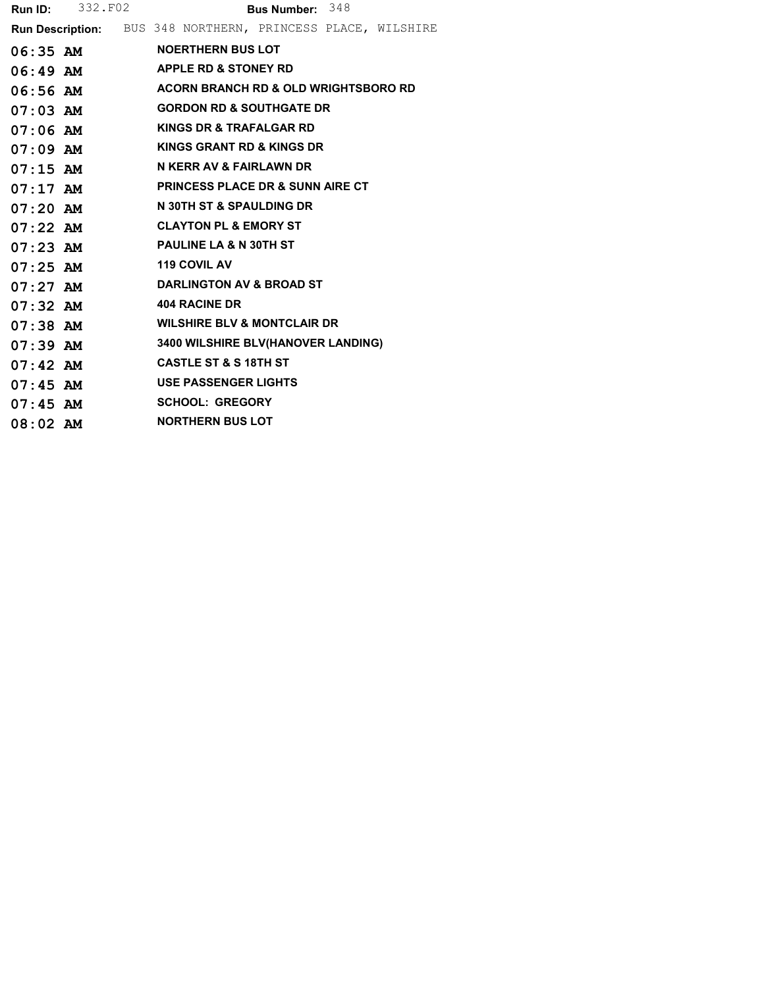| Run ID:    | 332.F02    | Bus Number: 348                                             |  |  |  |  |  |
|------------|------------|-------------------------------------------------------------|--|--|--|--|--|
|            |            | Run Description: BUS 348 NORTHERN, PRINCESS PLACE, WILSHIRE |  |  |  |  |  |
|            | $06:35$ AM | <b>NOERTHERN BUS LOT</b>                                    |  |  |  |  |  |
| $06:49$ AM |            | <b>APPLE RD &amp; STONEY RD</b>                             |  |  |  |  |  |
|            | $06:56$ AM | <b>ACORN BRANCH RD &amp; OLD WRIGHTSBORO RD</b>             |  |  |  |  |  |
| $07:03$ AM |            | <b>GORDON RD &amp; SOUTHGATE DR</b>                         |  |  |  |  |  |
| $07:06$ AM |            | KINGS DR & TRAFALGAR RD                                     |  |  |  |  |  |
| $07:09$ AM |            | KINGS GRANT RD & KINGS DR                                   |  |  |  |  |  |
| $07:15$ AM |            | N KERR AV & FAIRLAWN DR                                     |  |  |  |  |  |
| $07:17$ AM |            | <b>PRINCESS PLACE DR &amp; SUNN AIRE CT</b>                 |  |  |  |  |  |
| $07:20$ AM |            | N 30TH ST & SPAULDING DR                                    |  |  |  |  |  |
| $07:22$ AM |            | <b>CLAYTON PL &amp; EMORY ST</b>                            |  |  |  |  |  |
| $07:23$ AM |            | <b>PAULINE LA &amp; N 30TH ST</b>                           |  |  |  |  |  |
| $07:25$ AM |            | <b>119 COVIL AV</b>                                         |  |  |  |  |  |
| $07:27$ AM |            | <b>DARLINGTON AV &amp; BROAD ST</b>                         |  |  |  |  |  |
| $07:32$ AM |            | <b>404 RACINE DR</b>                                        |  |  |  |  |  |
| $07:38$ AM |            | <b>WILSHIRE BLV &amp; MONTCLAIR DR</b>                      |  |  |  |  |  |
| $07:39$ AM |            | 3400 WILSHIRE BLV(HANOVER LANDING)                          |  |  |  |  |  |
| $07:42$ AM |            | <b>CASTLE ST &amp; S 18TH ST</b>                            |  |  |  |  |  |
| $07:45$ AM |            | <b>USE PASSENGER LIGHTS</b>                                 |  |  |  |  |  |
| $07:45$ AM |            | <b>SCHOOL: GREGORY</b>                                      |  |  |  |  |  |
| $08:02$ AM |            | <b>NORTHERN BUS LOT</b>                                     |  |  |  |  |  |
|            |            |                                                             |  |  |  |  |  |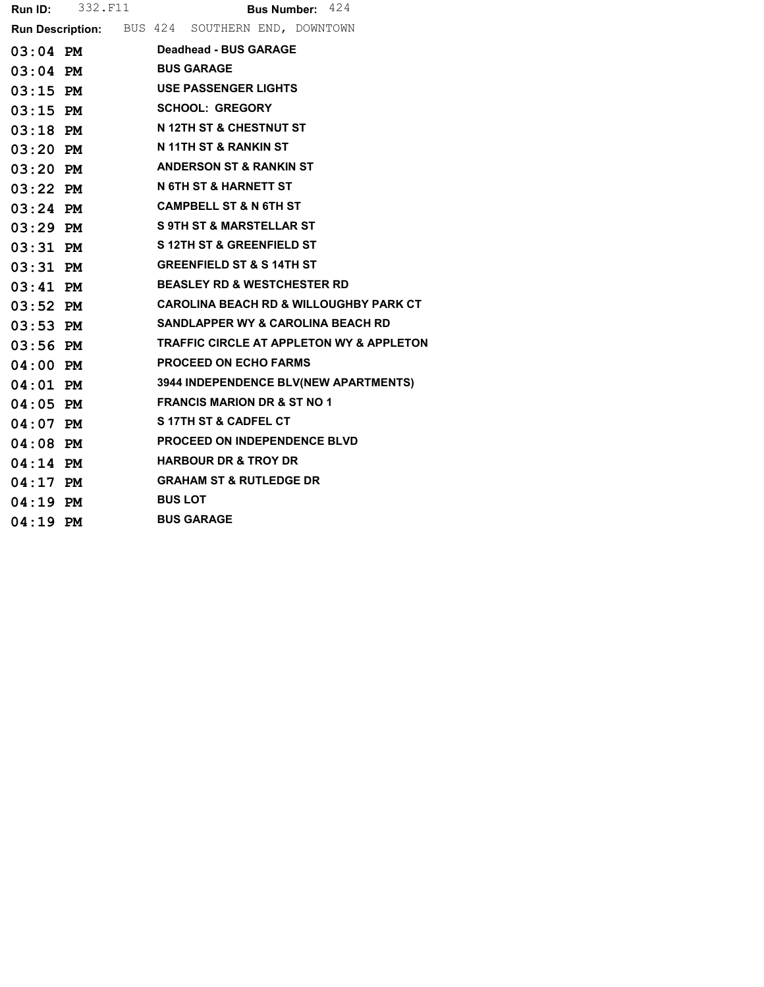| Run ID:    | 332.F11    | <b>Bus Number: 424</b>                            |
|------------|------------|---------------------------------------------------|
|            |            | Run Description: BUS 424 SOUTHERN END, DOWNTOWN   |
|            | $03:04$ PM | Deadhead - BUS GARAGE                             |
|            | $03:04$ PM | <b>BUS GARAGE</b>                                 |
| $03:15$ PM |            | <b>USE PASSENGER LIGHTS</b>                       |
| $03:15$ PM |            | <b>SCHOOL: GREGORY</b>                            |
| $03:18$ PM |            | <b>N 12TH ST &amp; CHESTNUT ST</b>                |
| $03:20$ PM |            | N 11TH ST & RANKIN ST                             |
| $03:20$ PM |            | <b>ANDERSON ST &amp; RANKIN ST</b>                |
| $03:22$ PM |            | N 6TH ST & HARNETT ST                             |
| $03:24$ PM |            | <b>CAMPBELL ST &amp; N 6TH ST</b>                 |
| $03:29$ PM |            | <b>S 9TH ST &amp; MARSTELLAR ST</b>               |
| $03:31$ PM |            | <b>S12TH ST &amp; GREENFIELD ST</b>               |
| $03:31$ PM |            | <b>GREENFIELD ST &amp; S 14TH ST</b>              |
| $03:41$ PM |            | <b>BEASLEY RD &amp; WESTCHESTER RD</b>            |
| $03:52$ PM |            | <b>CAROLINA BEACH RD &amp; WILLOUGHBY PARK CT</b> |
| $03:53$ PM |            | SANDLAPPER WY & CAROLINA BEACH RD                 |
| $03:56$ PM |            | TRAFFIC CIRCLE AT APPLETON WY & APPLETON          |
| $04:00$ PM |            | <b>PROCEED ON ECHO FARMS</b>                      |
| $04:01$ PM |            | 3944 INDEPENDENCE BLV(NEW APARTMENTS)             |
| $04:05$ PM |            | <b>FRANCIS MARION DR &amp; ST NO 1</b>            |
| $04:07$ PM |            | <b>S17TH ST &amp; CADFEL CT</b>                   |
| $04:08$ PM |            | <b>PROCEED ON INDEPENDENCE BLVD</b>               |
| $04:14$ PM |            | <b>HARBOUR DR &amp; TROY DR</b>                   |
| $04:17$ PM |            | <b>GRAHAM ST &amp; RUTLEDGE DR</b>                |
| $04:19$ PM |            | <b>BUS LOT</b>                                    |
| $04:19$ PM |            | <b>BUS GARAGE</b>                                 |
|            |            |                                                   |